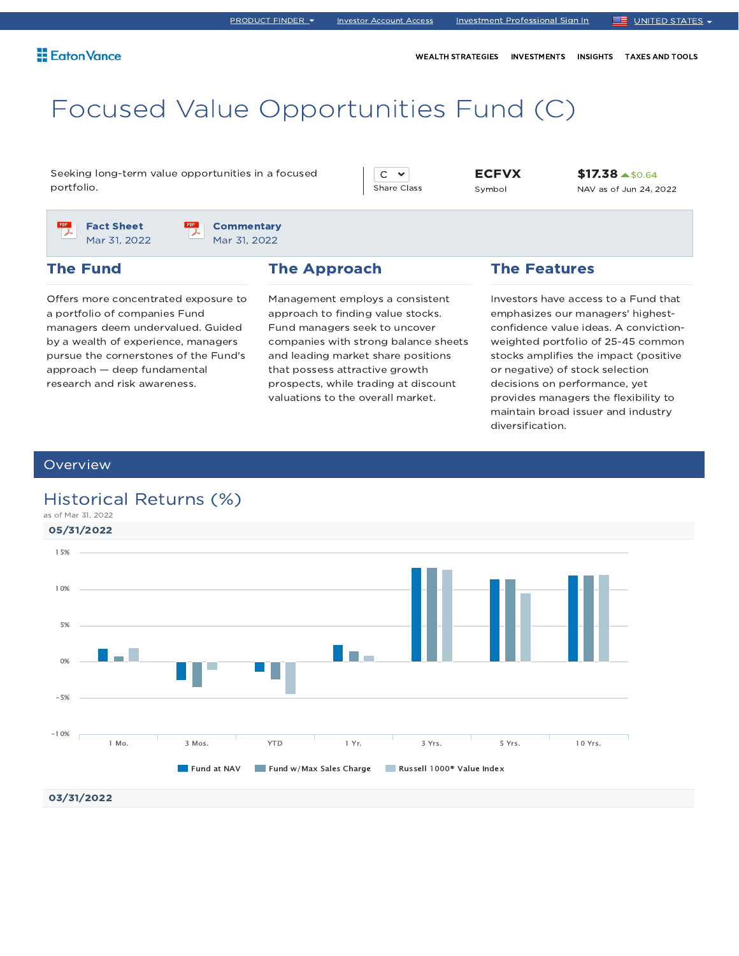WEALTH STRATEGIES INVESTMENTS INSIGHTS TAXES AND TOOLS

# Focused Value Opportunities Fund (C)

Seeking long-term value opportunities in a focused portfolio.

 $C \times$ Share Class

ECFVX Symbol

\$17.38 \$0.64 NAV as of Jun 24, 2022

PDF Fact Sheet Mar 31, 2022

**Commentary** Mar 31, 2022

## The Fund

Offers more concentrated exposure to a portfolio of companies Fund managers deem undervalued. Guided by a wealth of experience, managers pursue the cornerstones of the Fund's approach — deep fundamental research and risk awareness.

### The Approach

Management employs a consistent approach to finding value stocks. Fund managers seek to uncover companies with strong balance sheets and leading market share positions that possess attractive growth prospects, while trading at discount valuations to the overall market.

### The Features

Investors have access to a Fund that emphasizes our managers' highestconfidence value ideas. A convictionweighted portfolio of 25-45 common stocks amplifies the impact (positive or negative) of stock selection decisions on performance, yet provides managers the flexibility to maintain broad issuer and industry diversification.

### **Overview**

## Historical Returns (%)

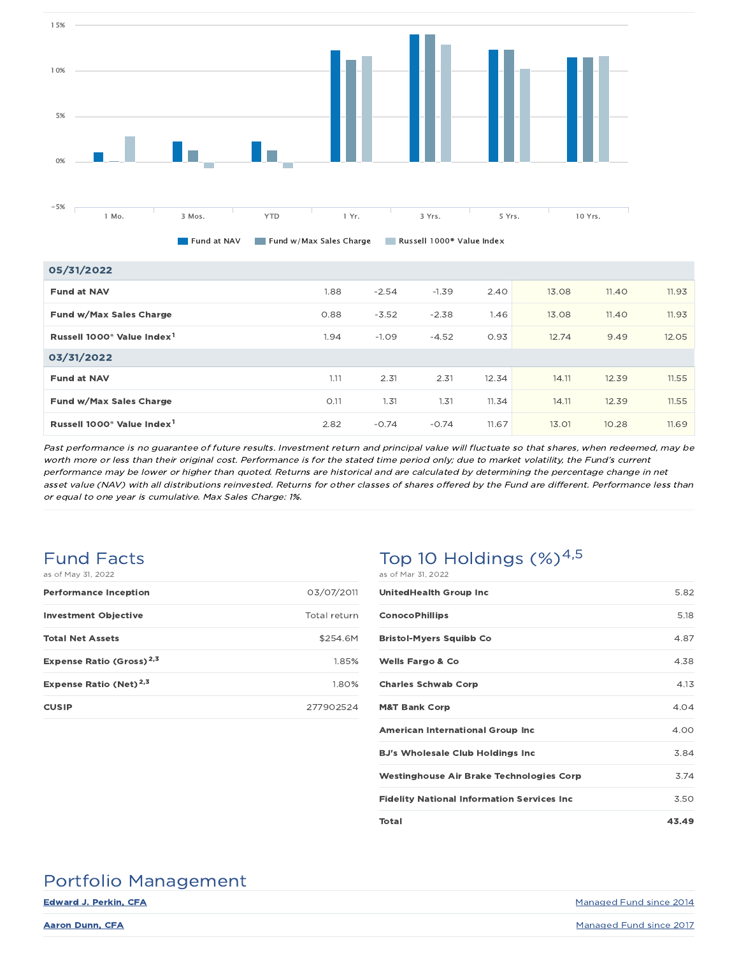

| 05/31/2022                                         |      |         |         |       |       |       |       |
|----------------------------------------------------|------|---------|---------|-------|-------|-------|-------|
| <b>Fund at NAV</b>                                 | 1.88 | $-2.54$ | $-1.39$ | 2.40  | 13.08 | 11.40 | 11.93 |
| Fund w/Max Sales Charge                            | 0.88 | $-3.52$ | $-2.38$ | 1.46  | 13.08 | 11.40 | 11.93 |
| Russell 1000 <sup>®</sup> Value Index <sup>1</sup> | 1.94 | $-1.09$ | $-4.52$ | 0.93  | 12.74 | 9.49  | 12.05 |
| 03/31/2022                                         |      |         |         |       |       |       |       |
| <b>Fund at NAV</b>                                 | 1.11 | 2.31    | 2.31    | 12.34 | 14.11 | 12.39 | 11.55 |
| Fund w/Max Sales Charge                            | O.11 | 1.31    | 1.31    | 11.34 | 14.11 | 12.39 | 11.55 |
| Russell 1000 <sup>®</sup> Value Index <sup>1</sup> | 2.82 | $-0.74$ | $-0.74$ | 11.67 | 13.01 | 10.28 | 11.69 |

Past performance is no guarantee of future results. Investment return and principal value will fluctuate so that shares, when redeemed, may be worth more or less than their original cost. Performance is for the stated time period only; due to market volatility, the Fund's current performance may be lower or higher than quoted. Returns are historical and are calculated by determining the percentage change in net asset value (NAV) with all distributions reinvested. Returns for other classes of shares offered by the Fund are different. Performance less than or equal to one year is cumulative. Max Sales Charge: 1%.

# Fund Facts

| as of May 31, 2022                   |              |
|--------------------------------------|--------------|
| <b>Performance Inception</b>         | 03/07/2011   |
| <b>Investment Objective</b>          | Total return |
| <b>Total Net Assets</b>              | \$254.6M     |
| Expense Ratio (Gross) <sup>2,3</sup> | 1.85%        |
| Expense Ratio (Net) <sup>2,3</sup>   | 1.80%        |
| <b>CUSIP</b>                         | 277902524    |

## Top 10 Holdings  $(\%)^{4,5}$ as of Mar 31, 2022

| <b>UnitedHealth Group Inc.</b>                    | 5.82  |
|---------------------------------------------------|-------|
| <b>ConocoPhillips</b>                             | 5.18  |
| <b>Bristol-Myers Squibb Co</b>                    | 4.87  |
| <b>Wells Fargo &amp; Co</b>                       | 4.38  |
| <b>Charles Schwab Corp</b>                        | 4.13  |
| <b>M&amp;T Bank Corp</b>                          | 4.04  |
| <b>American International Group Inc</b>           | 4.00  |
| <b>BJ's Wholesale Club Holdings Inc.</b>          | 3.84  |
| Westinghouse Air Brake Technologies Corp          | 3.74  |
| <b>Fidelity National Information Services Inc</b> | 3.50  |
| Total                                             | 43.49 |

# Portfolio Management

Edward J. Perkin, CFA Managed Fund since 2014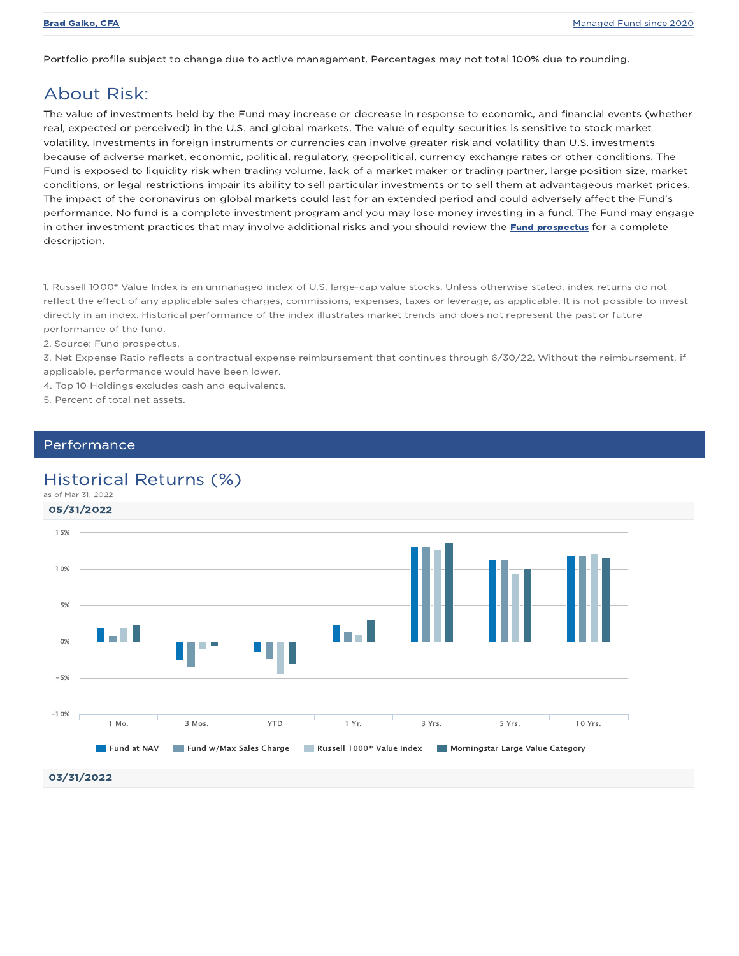Portfolio profile subject to change due to active management. Percentages may not total 100% due to rounding.

## About Risk:

The value of investments held by the Fund may increase or decrease in response to economic, and financial events (whether real, expected or perceived) in the U.S. and global markets. The value of equity securities is sensitive to stock market volatility. Investments in foreign instruments or currencies can involve greater risk and volatility than U.S. investments because of adverse market, economic, political, regulatory, geopolitical, currency exchange rates or other conditions. The Fund is exposed to liquidity risk when trading volume, lack of a market maker or trading partner, large position size, market conditions, or legal restrictions impair its ability to sell particular investments or to sell them at advantageous market prices. The impact of the coronavirus on global markets could last for an extended period and could adversely affect the Fund's performance. No fund is a complete investment program and you may lose money investing in a fund. The Fund may engage in other investment practices that may involve additional risks and you should review the Fund prospectus for a complete description.

1. Russell 1000® Value Index is an unmanaged index of U.S. large-cap value stocks. Unless otherwise stated, index returns do not reflect the effect of any applicable sales charges, commissions, expenses, taxes or leverage, as applicable. It is not possible to invest directly in an index. Historical performance of the index illustrates market trends and does not represent the past or future performance of the fund.

2. Source: Fund prospectus.

3. Net Expense Ratio reflects a contractual expense reimbursement that continues through 6/30/22. Without the reimbursement, if applicable, performance would have been lower.

4. Top 10 Holdings excludes cash and equivalents.

5. Percent of total net assets.

### Performance

## Historical Returns (%)

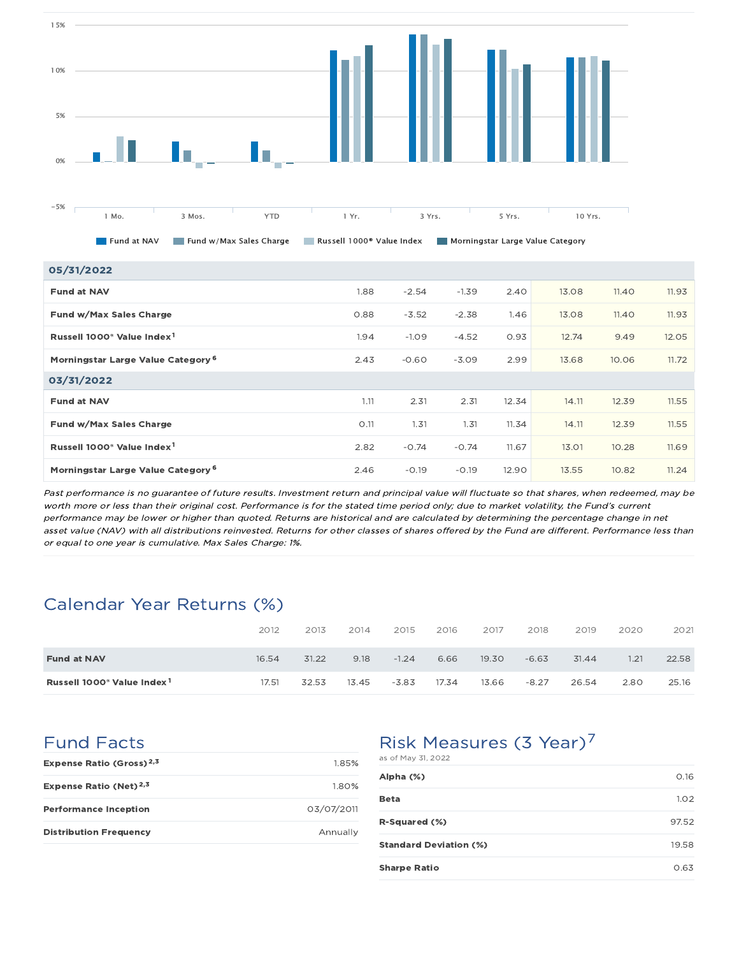

Fund at NAV Fund w/Max Sales Charge Russell 1000® Value Index Morningstar Large Value Category

| 05/31/2022                                         |      |         |         |       |       |       |       |
|----------------------------------------------------|------|---------|---------|-------|-------|-------|-------|
| <b>Fund at NAV</b>                                 | 1.88 | $-2.54$ | $-1.39$ | 2.40  | 13.08 | 11.40 | 11.93 |
| Fund w/Max Sales Charge                            | 0.88 | $-3.52$ | $-2.38$ | 1.46  | 13.08 | 11.40 | 11.93 |
| Russell 1000 <sup>®</sup> Value Index <sup>1</sup> | 1.94 | $-1.09$ | $-4.52$ | 0.93  | 12.74 | 9.49  | 12.05 |
| Morningstar Large Value Category <sup>6</sup>      | 2.43 | $-0.60$ | $-3.09$ | 2.99  | 13.68 | 10.06 | 11.72 |
| 03/31/2022                                         |      |         |         |       |       |       |       |
| <b>Fund at NAV</b>                                 | 1.11 | 2.31    | 2.31    | 12.34 | 14.11 | 12.39 | 11.55 |
| Fund w/Max Sales Charge                            | O.11 | 1.31    | 1.31    | 11.34 | 14.11 | 12.39 | 11.55 |
| Russell 1000 <sup>®</sup> Value Index <sup>1</sup> | 2.82 | $-0.74$ | $-0.74$ | 11.67 | 13.01 | 10.28 | 11.69 |
| Morningstar Large Value Category <sup>6</sup>      | 2.46 | $-0.19$ | $-0.19$ | 12.90 | 13.55 | 10.82 | 11.24 |

Past performance is no guarantee of future results. Investment return and principal value will fluctuate so that shares, when redeemed, may be worth more or less than their original cost. Performance is for the stated time period only; due to market volatility, the Fund's current performance may be lower or higher than quoted. Returns are historical and are calculated by determining the percentage change in net asset value (NAV) with all distributions reinvested. Returns for other classes of shares offered by the Fund are different. Performance less than or equal to one year is cumulative. Max Sales Charge: 1%.

# Calendar Year Returns (%)

|                                                    | 2012  | 2013  | 2014  | 2015    | 2016  | 2017  | 2018    | 2019  | 2020 | 2021  |
|----------------------------------------------------|-------|-------|-------|---------|-------|-------|---------|-------|------|-------|
| <b>Fund at NAV</b>                                 | 16.54 | 31.22 | 9.18  | $-1.24$ | 6.66  | 19.30 | $-6.63$ | 31.44 | 1.21 | 22.58 |
| Russell 1000 <sup>®</sup> Value Index <sup>1</sup> | 17.51 | 32.53 | 13.45 | $-3.83$ | 17.34 | 13.66 | $-8.27$ | 26.54 | 2.80 | 25.16 |

# Fund Facts

| Expense Ratio (Gross) <sup>2,3</sup> | 1.85%      |
|--------------------------------------|------------|
| Expense Ratio (Net) $2,3$            | 1.80%      |
| <b>Performance Inception</b>         | 03/07/2011 |
| <b>Distribution Frequency</b>        | Annually   |

# Risk Measures (3 Year)<sup>7</sup>

| as of May 31, 2022            |       |
|-------------------------------|-------|
| Alpha (%)                     | 0.16  |
| Beta                          | 1.02  |
| R-Squared (%)                 | 97.52 |
| <b>Standard Deviation (%)</b> | 19.58 |
| <b>Sharpe Ratio</b>           | 0.63  |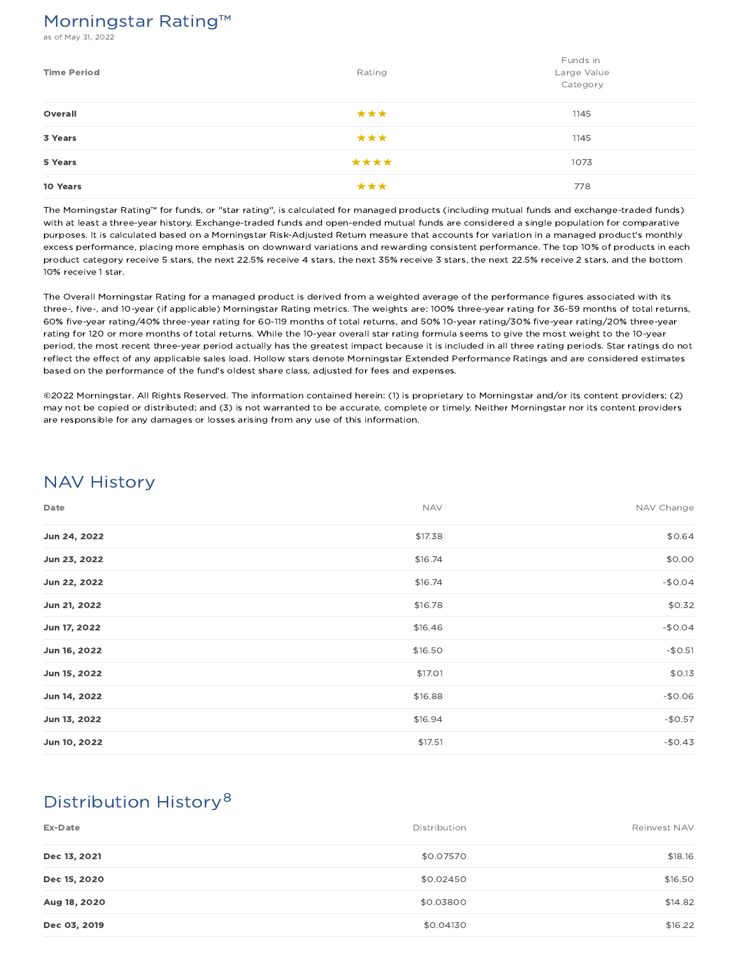## Morningstar Rating™

s of May 31, 2022

| <b>Time Period</b> | Rating | Funds in<br>Large Value<br>Category |
|--------------------|--------|-------------------------------------|
| Overall            | ***    | 1145                                |
| 3 Years            | ***    | 1145                                |
| 5 Years            | ****   | 1073                                |
| 10 Years           | ***    | 778                                 |

The Morningstar Rating™ for funds, or "star rating", is calculated for managed products (including mutual funds and exchange-traded funds) with at least a three-year history. Exchange-traded funds and open-ended mutual funds are considered a single population for comparative purposes. It is calculated based on a Morningstar Risk-Adjusted Return measure that accounts for variation in a managed product's monthly excess performance, placing more emphasis on downward variations and rewarding consistent performance. The top 10% of products in each product category receive 5 stars, the next 22.5% receive 4 stars, the next 35% receive 3 stars, the next 22.5% receive 2 stars, and the bottom 10% receive 1 star.

The Overall Morningstar Rating for a managed product is derived from a weighted average of the performance figures associated with its three-, five-, and 10-year (if applicable) Morningstar Rating metrics. The weights are: 100% three-year rating for 36-59 months of total returns, 60% five-year rating/40% three-year rating for 60-119 months of total returns, and 50% 10-year rating/30% five-year rating/20% three-year rating for 120 or more months of total returns. While the 10-year overall star rating formula seems to give the most weight to the 10-year period, the most recent three-year period actually has the greatest impact because it is included in all three rating periods. Star ratings do not reflect the effect of any applicable sales load. Hollow stars denote Morningstar Extended Performance Ratings and are considered estimates based on the performance of the fund's oldest share class, adjusted for fees and expenses.

©2022 Morningstar. All Rights Reserved. The information contained herein: (1) is proprietary to Morningstar and/or its content providers; (2) may not be copied or distributed; and (3) is not warranted to be accurate, complete or timely. Neither Morningstar nor its content providers are responsible for any damages or losses arising from any use of this information.

# NAV History

| Date         | <b>NAV</b> | NAV Change |
|--------------|------------|------------|
| Jun 24, 2022 | \$17.38    | \$0.64     |
| Jun 23, 2022 | \$16.74    | \$0.00     |
| Jun 22, 2022 | \$16.74    | $-$0.04$   |
| Jun 21, 2022 | \$16.78    | \$0.32     |
| Jun 17, 2022 | \$16.46    | $-$0.04$   |
| Jun 16, 2022 | \$16.50    | $-$0.51$   |
| Jun 15, 2022 | \$17.01    | \$0.13     |
| Jun 14, 2022 | \$16.88    | $-$0.06$   |
| Jun 13, 2022 | \$16.94    | $-$0.57$   |
| Jun 10, 2022 | \$17.51    | $-50.43$   |

# Distribution History 8

| Ex-Date      | Distribution | Reinvest NAV |
|--------------|--------------|--------------|
| Dec 13, 2021 | \$0.07570    | \$18.16      |
| Dec 15, 2020 | \$0.02450    | \$16.50      |
| Aug 18, 2020 | \$0.03800    | \$14.82      |
| Dec 03, 2019 | \$0.04130    | \$16.22      |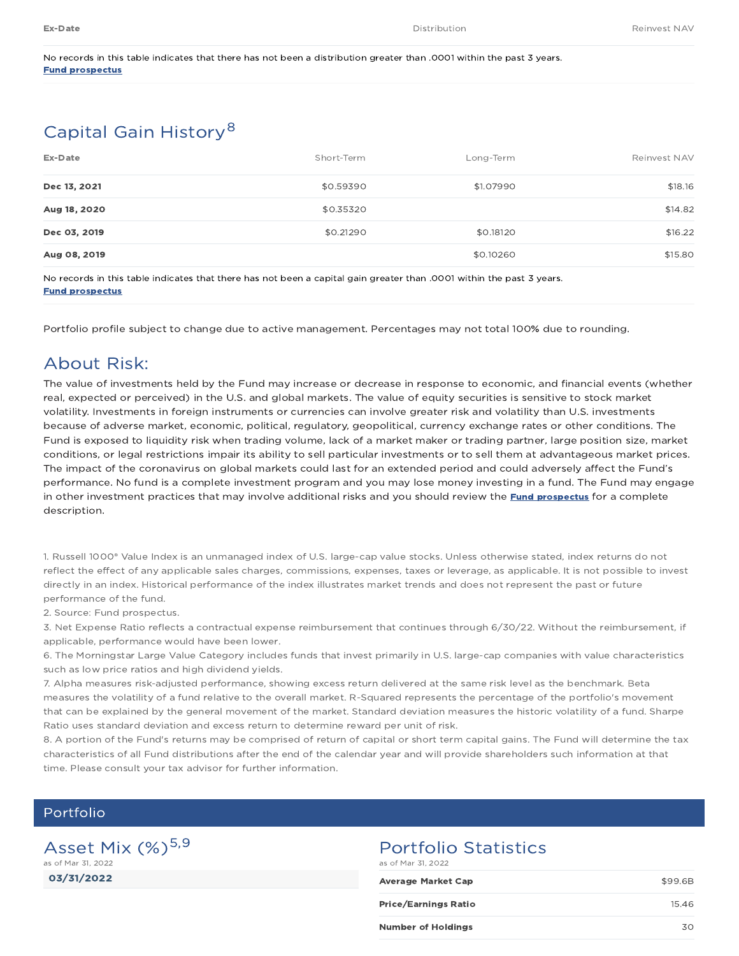No records in this table indicates that there has not been a distribution greater than .0001 within the past 3 years. Fund prospectus

# Capital Gain History<sup>8</sup>

| Ex-Date      | Short-Term | Long-Term | Reinvest NAV |
|--------------|------------|-----------|--------------|
| Dec 13, 2021 | \$0.59390  | \$1.07990 | \$18.16      |
| Aug 18, 2020 | \$0.35320  |           | \$14.82      |
| Dec 03, 2019 | \$0.21290  | \$0.18120 | \$16.22      |
| Aug 08, 2019 |            | \$0.10260 | \$15.80      |

No records in this table indicates that there has not been a capital gain greater than .0001 within the past 3 years. Fund prospectus

Portfolio profile subject to change due to active management. Percentages may not total 100% due to rounding.

## About Risk:

The value of investments held by the Fund may increase or decrease in response to economic, and financial events (whether real, expected or perceived) in the U.S. and global markets. The value of equity securities is sensitive to stock market volatility. Investments in foreign instruments or currencies can involve greater risk and volatility than U.S. investments because of adverse market, economic, political, regulatory, geopolitical, currency exchange rates or other conditions. The Fund is exposed to liquidity risk when trading volume, lack of a market maker or trading partner, large position size, market conditions, or legal restrictions impair its ability to sell particular investments or to sell them at advantageous market prices. The impact of the coronavirus on global markets could last for an extended period and could adversely affect the Fund's performance. No fund is a complete investment program and you may lose money investing in a fund. The Fund may engage in other investment practices that may involve additional risks and you should review the Fund prospectus for a complete description.

1. Russell 1000® Value Index is an unmanaged index of U.S. large-cap value stocks. Unless otherwise stated, index returns do not reflect the effect of any applicable sales charges, commissions, expenses, taxes or leverage, as applicable. It is not possible to invest directly in an index. Historical performance of the index illustrates market trends and does not represent the past or future performance of the fund.

2. Source: Fund prospectus.

3. Net Expense Ratio reflects a contractual expense reimbursement that continues through 6/30/22. Without the reimbursement, if applicable, performance would have been lower.

6. The Morningstar Large Value Category includes funds that invest primarily in U.S. large-cap companies with value characteristics such as low price ratios and high dividend yields.

7. Alpha measures risk-adjusted performance, showing excess return delivered at the same risk level as the benchmark. Beta measures the volatility of a fund relative to the overall market. R-Squared represents the percentage of the portfolio's movement that can be explained by the general movement of the market. Standard deviation measures the historic volatility of a fund. Sharpe Ratio uses standard deviation and excess return to determine reward per unit of risk.

8. A portion of the Fund's returns may be comprised of return of capital or short term capital gains. The Fund will determine the tax characteristics of all Fund distributions after the end of the calendar year and will provide shareholders such information at that time. Please consult your tax advisor for further information.

### Portfolio

03/31/2022 Asset Mix  $(\%)^{5,9}$ as of Mar 31, 2022

# Portfolio Statistics

as of Mar 31, 2022

| Average Market Cap        | \$99.6B |
|---------------------------|---------|
| Price/Earnings Ratio      | 15.46   |
| <b>Number of Holdings</b> | 30      |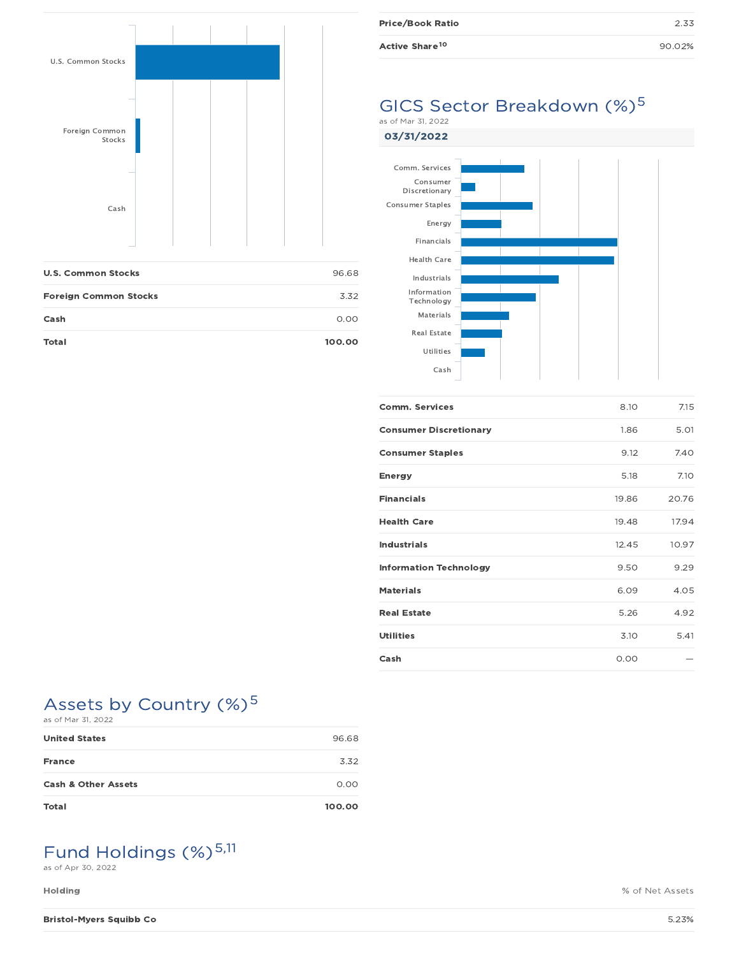

| <b>U.S. Common Stocks</b>    | 96.68  |
|------------------------------|--------|
| <b>Foreign Common Stocks</b> | 3.32   |
| Cash                         | 0.00   |
| <b>Total</b>                 | 100.00 |

| <b>Price/Book Ratio</b>    | 2.33   |
|----------------------------|--------|
| Active Share <sup>10</sup> | 90.02% |

## GICS Sector Breakdown (%)<sup>5</sup> as of Mar 31, 2022





| <b>Comm. Services</b>         | 8.10  | 7.15  |
|-------------------------------|-------|-------|
| <b>Consumer Discretionary</b> | 1.86  | 5.01  |
| <b>Consumer Staples</b>       | 9.12  | 7.40  |
| <b>Energy</b>                 | 5.18  | 7.10  |
| <b>Financials</b>             | 19.86 | 20.76 |
| <b>Health Care</b>            | 19.48 | 17.94 |
| <b>Industrials</b>            | 12.45 | 10.97 |
| <b>Information Technology</b> | 9.50  | 9.29  |
| <b>Materials</b>              | 6.09  | 4.05  |
| <b>Real Estate</b>            | 5.26  | 4.92  |
| <b>Utilities</b>              | 3.10  | 5.41  |
| Cash                          | 0.00  |       |

## Assets by Country (%)<sup>5</sup> as of Mar 31, 2022

| <b>United States</b>           | 96.68  |
|--------------------------------|--------|
| <b>France</b>                  | 3.32   |
| <b>Cash &amp; Other Assets</b> | 0.00   |
| <b>Total</b>                   | 100.00 |

# Fund Holdings (%)<sup>5,11</sup>

as of Apr 30, 2022

**Holding** % of Net Assets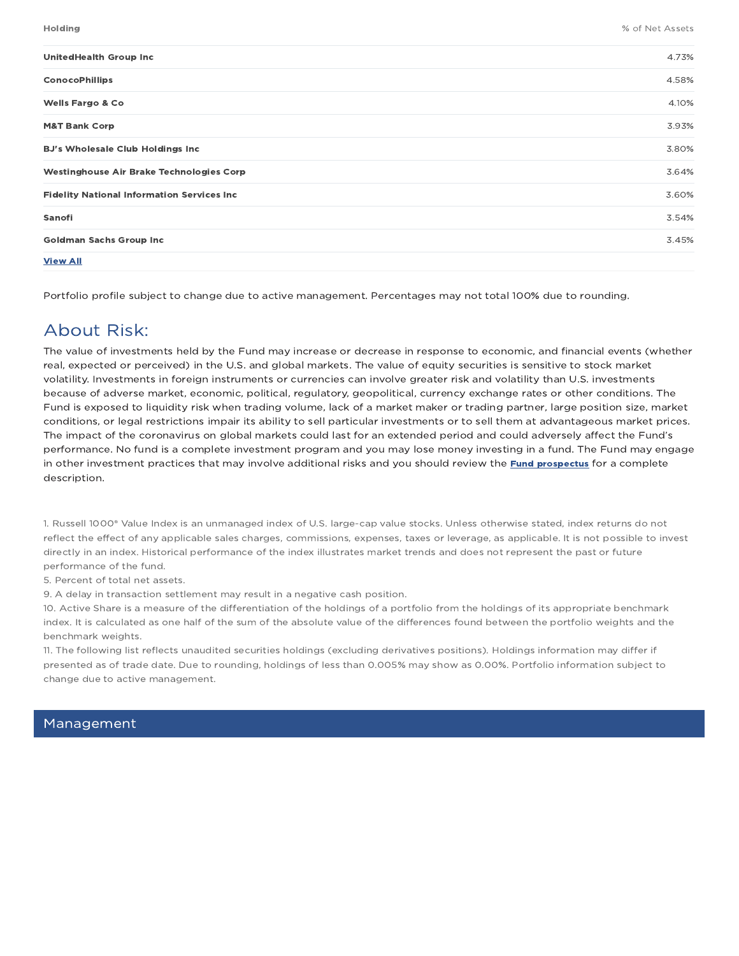| <b>UnitedHealth Group Inc</b>                     | 4.73% |
|---------------------------------------------------|-------|
| <b>ConocoPhillips</b>                             | 4.58% |
| <b>Wells Fargo &amp; Co</b>                       | 4.10% |
| <b>M&amp;T Bank Corp</b>                          | 3.93% |
| <b>BJ's Wholesale Club Holdings Inc</b>           | 3.80% |
| <b>Westinghouse Air Brake Technologies Corp</b>   | 3.64% |
| <b>Fidelity National Information Services Inc</b> | 3.60% |
| Sanofi                                            | 3.54% |
| <b>Goldman Sachs Group Inc.</b>                   | 3.45% |
| <b>View All</b>                                   |       |

Portfolio profile subject to change due to active management. Percentages may not total 100% due to rounding.

## About Risk:

The value of investments held by the Fund may increase or decrease in response to economic, and financial events (whether real, expected or perceived) in the U.S. and global markets. The value of equity securities is sensitive to stock market volatility. Investments in foreign instruments or currencies can involve greater risk and volatility than U.S. investments because of adverse market, economic, political, regulatory, geopolitical, currency exchange rates or other conditions. The Fund is exposed to liquidity risk when trading volume, lack of a market maker or trading partner, large position size, market conditions, or legal restrictions impair its ability to sell particular investments or to sell them at advantageous market prices. The impact of the coronavirus on global markets could last for an extended period and could adversely affect the Fund's performance. No fund is a complete investment program and you may lose money investing in a fund. The Fund may engage in other investment practices that may involve additional risks and you should review the Fund prospectus for a complete description.

1. Russell 1000® Value Index is an unmanaged index of U.S. large-cap value stocks. Unless otherwise stated, index returns do not reflect the effect of any applicable sales charges, commissions, expenses, taxes or leverage, as applicable. It is not possible to invest directly in an index. Historical performance of the index illustrates market trends and does not represent the past or future performance of the fund.

5. Percent of total net assets.

9. A delay in transaction settlement may result in a negative cash position.

10. Active Share is a measure of the differentiation of the holdings of a portfolio from the holdings of its appropriate benchmark index. It is calculated as one half of the sum of the absolute value of the differences found between the portfolio weights and the benchmark weights.

11. The following list reflects unaudited securities holdings (excluding derivatives positions). Holdings information may differ if presented as of trade date. Due to rounding, holdings of less than 0.005% may show as 0.00%. Portfolio information subject to change due to active management.

### Management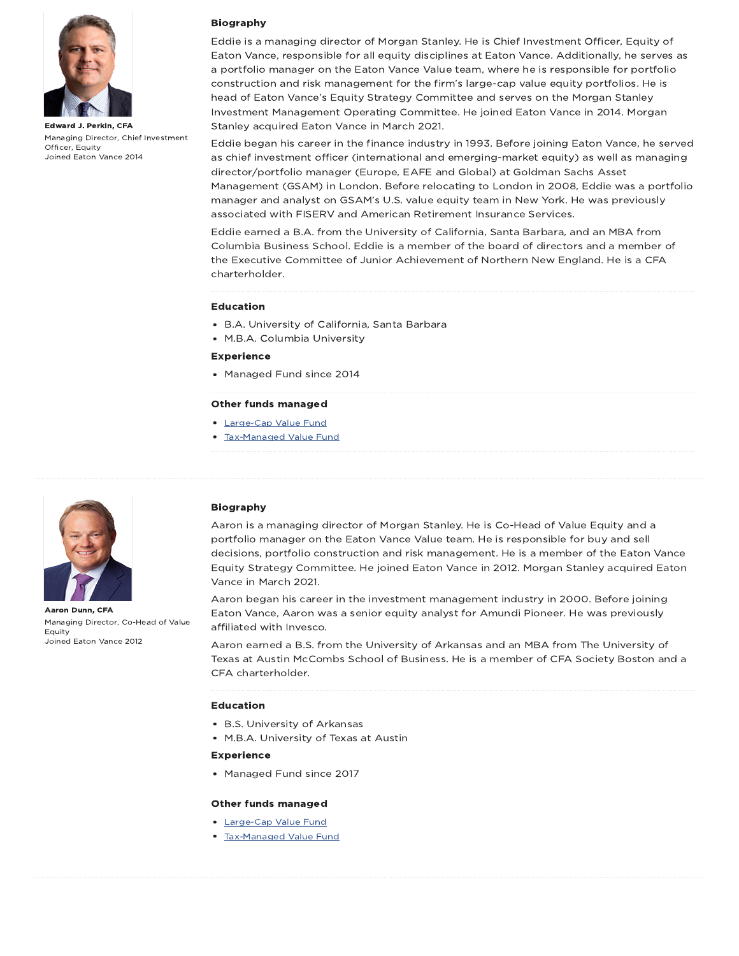

Edward J. Perkin, CFA Managing Director, Chief Investment Officer, Equity Joined Eaton Vance 2014



Eddie is a managing director of Morgan Stanley. He is Chief Investment Officer, Equity of Eaton Vance, responsible for all equity disciplines at Eaton Vance. Additionally, he serves as a portfolio manager on the Eaton Vance Value team, where he is responsible for portfolio construction and risk management for the firm's large-cap value equity portfolios. He is head of Eaton Vance's Equity Strategy Committee and serves on the Morgan Stanley Investment Management Operating Committee. He joined Eaton Vance in 2014. Morgan Stanley acquired Eaton Vance in March 2021.

Eddie began his career in the finance industry in 1993. Before joining Eaton Vance, he served as chief investment officer (international and emerging-market equity) as well as managing director/portfolio manager (Europe, EAFE and Global) at Goldman Sachs Asset Management (GSAM) in London. Before relocating to London in 2008, Eddie was a portfolio manager and analyst on GSAM's U.S. value equity team in New York. He was previously associated with FISERV and American Retirement Insurance Services.

Eddie earned a B.A. from the University of California, Santa Barbara, and an MBA from Columbia Business School. Eddie is a member of the board of directors and a member of the Executive Committee of Junior Achievement of Northern New England. He is a CFA charterholder.

### Education

- B.A. University of California, Santa Barbara
- M.B.A. Columbia University

### Experience

• Managed Fund since 2014

#### Other funds managed

- Large-Cap Value Fund
- Tax-Managed Value Fund



Aaron Dunn, CFA Managing Director, Co-Head of Value Equity Joined Eaton Vance 2012

### Biography

Aaron is a managing director of Morgan Stanley. He is Co-Head of Value Equity and a portfolio manager on the Eaton Vance Value team. He is responsible for buy and sell decisions, portfolio construction and risk management. He is a member of the Eaton Vance Equity Strategy Committee. He joined Eaton Vance in 2012. Morgan Stanley acquired Eaton Vance in March 2021.

Aaron began his career in the investment management industry in 2000. Before joining Eaton Vance, Aaron was a senior equity analyst for Amundi Pioneer. He was previously affiliated with Invesco.

Aaron earned a B.S. from the University of Arkansas and an MBA from The University of Texas at Austin McCombs School of Business. He is a member of CFA Society Boston and a CFA charterholder.

#### Education

- B.S. University of Arkansas
- M.B.A. University of Texas at Austin

### Experience

• Managed Fund since 2017

#### Other funds managed

- Large-Cap Value Fund
- Tax-Managed Value Fund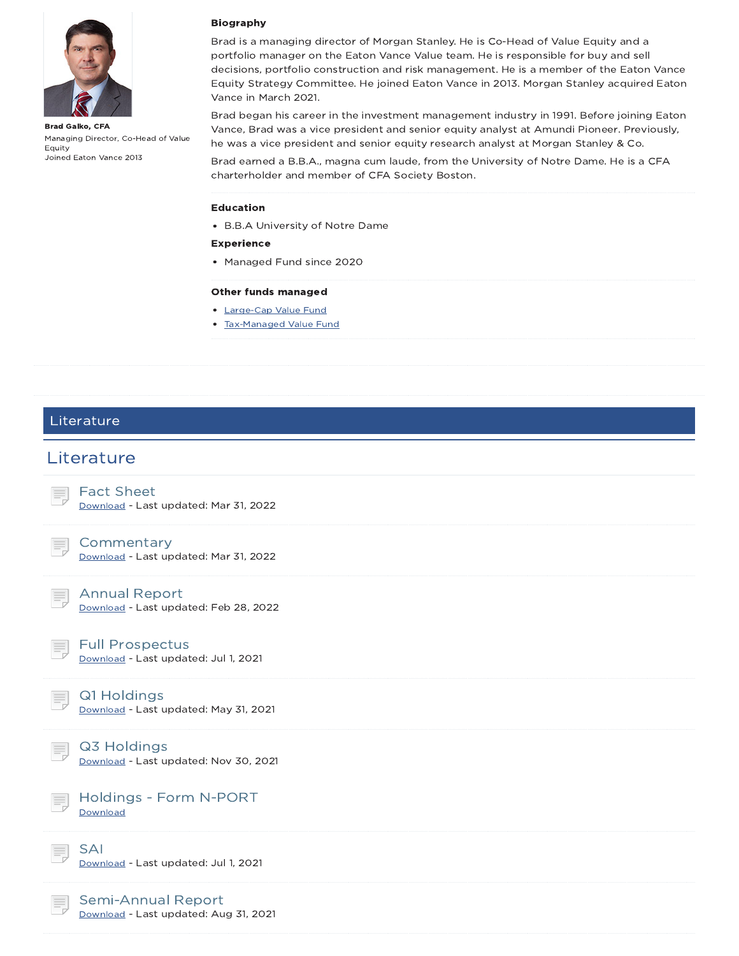

Brad Galko, CFA Managing Director, Co-Head of Value Equity Joined Eaton Vance 2013

### Biography

Brad is a managing director of Morgan Stanley. He is Co-Head of Value Equity and a portfolio manager on the Eaton Vance Value team. He is responsible for buy and sell decisions, portfolio construction and risk management. He is a member of the Eaton Vance Equity Strategy Committee. He joined Eaton Vance in 2013. Morgan Stanley acquired Eaton Vance in March 2021.

Brad began his career in the investment management industry in 1991. Before joining Eaton Vance, Brad was a vice president and senior equity analyst at Amundi Pioneer. Previously, he was a vice president and senior equity research analyst at Morgan Stanley & Co.

Brad earned a B.B.A., magna cum laude, from the University of Notre Dame. He is a CFA charterholder and member of CFA Society Boston.

#### Education

B.B.A University of Notre Dame

### Experience

• Managed Fund since 2020

### Other funds managed

- Large-Cap Value Fund
- Tax-Managed Value Fund

### Literature

## **Literature**



### **Commentary**

Download - Last updated: Mar 31, 2022



Annual Report

Download - Last updated: Feb 28, 2022

### Full Prospectus

Download - Last updated: Jul 1, 2021

Q1 Holdings

Download - Last updated: May 31, 2021

## Q3 Holdings

Download - Last updated: Nov 30, 2021



Holdings - Form N-PORT **Download** 

SAI Download - Last updated: Jul 1, 2021

Semi-Annual Report Download - Last updated: Aug 31, 2021